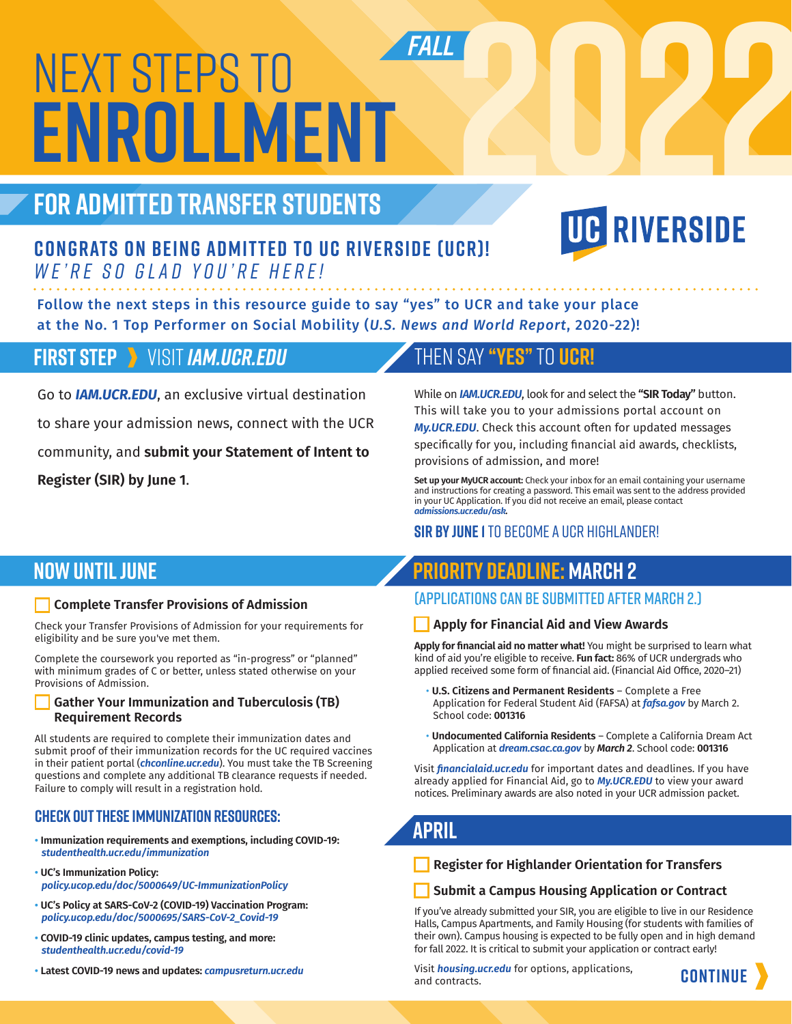# NEXT STEPS TO **ENROLLMENT**

# **FOR ADMITTED TRANSFER STUDENTS**

# **FALL**<br>2[022](https://www.ucr.edu/)

# **Congrats on being admitted to UC Riverside (UCR)!**  *We're so glad you're here!*

Follow the next steps in this resource guide to say "yes" to UCR and take your place at the No. 1 Top Performer on Social Mobility (*U.S. News and World Report*, 2020-22)!

# **FIRST STEP** VISIT *[IAM.UCR.EDU](https://iam.ucr.edu/)*

Go to *[IAM.UCR.EDU](https://iam.ucr.edu/)*, an exclusive virtual destination to share your admission news, connect with the UCR community, and **submit your Statement of Intent to Register (SIR) by June 1**.

# THEN SAY **"YES"**TO **UCR!**

While on *[IAM.UCR.EDU](https://iam.ucr.edu/)*, look for and select the **"SIR Today"** button. This will take you to your admissions portal account on *[My.UCR.EDU](https://my.ucr.edu/)*. Check this account often for updated messages

specifically for you, including financial aid awards, checklists, provisions of admission, and more!

**Set up your MyUCR account:** Check your inbox for an email containing your username and instructions for creating a password. This email was sent to the address provided in your UC Application. If you did not receive an email, please contact *[admissions.ucr.edu/ask](https://admissions.ucr.edu/ask).*

## **SIR by June 1** to become a UCR Highlander!

# **NOW UNTIL JUNE**

### **Complete Transfer Provisions of Admission**

Check your Transfer Provisions of Admission for your requirements for eligibility and be sure you've met them.

Complete the coursework you reported as "in-progress" or "planned" with minimum grades of C or better, unless stated otherwise on your Provisions of Admission.

#### **Gather Your Immunization and Tuberculosis (TB) Requirement Records**

All students are required to complete their immunization dates and submit proof of their immunization records for the UC required vaccines in their patient portal (*[chconline.ucr.edu](https://chconline.ucr.edu)*). You must take the TB Screening questions and complete any additional TB clearance requests if needed. Failure to comply will result in a registration hold.

# **Check out these immunization resources:**

- **Immunization requirements and exemptions, including COVID-19:**   *[studenthealth.ucr.edu/immunization](https://studenthealth.ucr.edu/Immunization)*
- **UC's Immunization Policy:**   *[policy.ucop.edu/doc/5000649/UC-ImmunizationPolicy](https://policy.ucop.edu/doc/5000649/UC-ImmunizationPolicy)*
- **UC's Policy at SARS-CoV-2 (COVID-19) Vaccination Program:**   *[policy.ucop.edu/doc/5000695/SARS-CoV-2\\_Covid-19](https://policy.ucop.edu/doc/5000695/SARS-CoV-2_Covid-19)*
- **COVID-19 clinic updates, campus testing, and more:**  *[studenthealth.ucr.edu/covid-19](https://studenthealth.ucr.edu/covid-19)*
- **Latest COVID-19 news and updates:** *[campusreturn.ucr.edu](https://campusreturn.ucr.edu/)*

# **Priority Deadline: March 2**

# (Applications can be submitted after March 2.)

### **Apply for Financial Aid and View Awards**

**Apply for financial aid no matter what!** You might be surprised to learn what kind of aid you're eligible to receive. **Fun fact:** 86% of UCR undergrads who applied received some form of financial aid. (Financial Aid Office, 2020–21)

- **U.S. Citizens and Permanent Residents** Complete a Free Application for Federal Student Aid (FAFSA) at *[fafsa.gov](https://studentaid.gov/h/apply-for-aid/fafsa)* by March 2. School code: **001316**
- **Undocumented California Residents** Complete a California Dream Act Application at *[dream.csac.ca.gov](https://dream.csac.ca.gov/landing)* by *March 2*. School code: **001316**

Visit *[financialaid.ucr.edu](%EF%AC%81nancialaid.ucr.edu)* for important dates and deadlines. If you have already applied for Financial Aid, go to *[My.UCR.EDU](https://my.ucr.edu/)* to view your award notices. Preliminary awards are also noted in your UCR admission packet.

# **APRIL**

**Register for Highlander Orientation for Transfers**

### **Submit a Campus Housing Application or Contract**

If you've already submitted your SIR, you are eligible to live in our Residence Halls, Campus Apartments, and Family Housing (for students with families of their own). Campus housing is expected to be fully open and in high demand for fall 2022. It is critical to submit your application or contract early!

Visit *[housing.ucr.edu](https://housing.ucr.edu/)* for options, applications, and contracts.